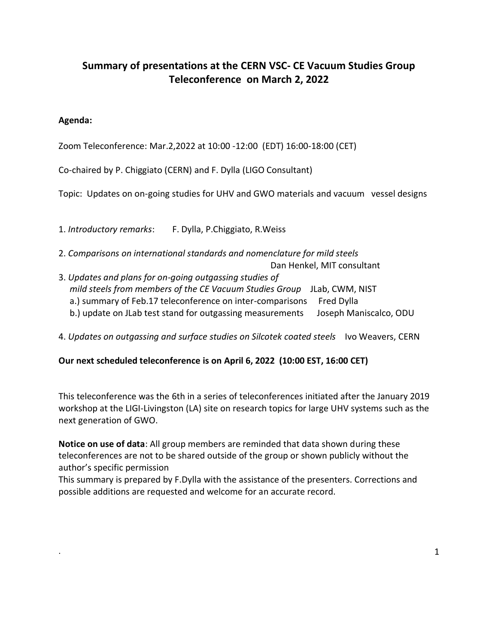# **Summary of presentations at the CERN VSC- CE Vacuum Studies Group Teleconference on March 2, 2022**

### **Agenda:**

Zoom Teleconference: Mar.2,2022 at 10:00 -12:00 (EDT) 16:00-18:00 (CET)

Co-chaired by P. Chiggiato (CERN) and F. Dylla (LIGO Consultant)

Topic: Updates on on-going studies for UHV and GWO materials and vacuum vessel designs

1. *Introductory remarks*: F. Dylla, P.Chiggiato, R.Weiss

2. *Comparisons on international standards and nomenclature for mild steels*

Dan Henkel, MIT consultant

3. *Updates and plans for on-going outgassing studies of mild steels from members of the CE Vacuum Studies Group* JLab, CWM, NIST a.) summary of Feb.17 teleconference on inter-comparisons Fred Dylla b.) update on JLab test stand for outgassing measurements Joseph Maniscalco, ODU

4. *Updates on outgassing and surface studies on Silcotek coated steels* Ivo Weavers, CERN

#### **Our next scheduled teleconference is on April 6, 2022 (10:00 EST, 16:00 CET)**

This teleconference was the 6th in a series of teleconferences initiated after the January 2019 workshop at the LIGI-Livingston (LA) site on research topics for large UHV systems such as the next generation of GWO.

**Notice on use of data**: All group members are reminded that data shown during these teleconferences are not to be shared outside of the group or shown publicly without the author's specific permission

This summary is prepared by F.Dylla with the assistance of the presenters. Corrections and possible additions are requested and welcome for an accurate record.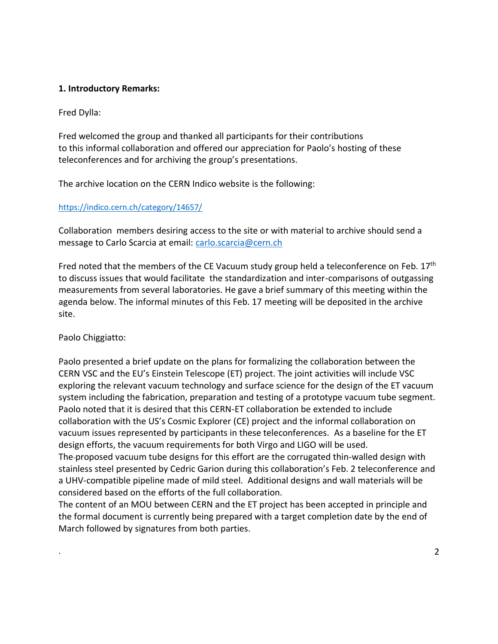#### **1. Introductory Remarks:**

Fred Dylla:

Fred welcomed the group and thanked all participants for their contributions to this informal collaboration and offered our appreciation for Paolo's hosting of these teleconferences and for archiving the group's presentations.

The archive location on the CERN Indico website is the following:

#### [https://indico.cern.ch/category/14657/](https://nam12.safelinks.protection.outlook.com/?url=https%3A%2F%2Findico.cern.ch%2Fcategory%2F14657%2F&data=04%7C01%7Cdylla%40aip.org%7C3a64779263024e6cd56808d9fb7efb6a%7Cdc10e84a5061494682799dd51547c7e9%7C0%7C0%7C637817345077787746%7CUnknown%7CTWFpbGZsb3d8eyJWIjoiMC4wLjAwMDAiLCJQIjoiV2luMzIiLCJBTiI6Ik1haWwiLCJXVCI6Mn0%3D%7C3000&sdata=G%2FhbmPCEEKfP%2Blv1soUjr8x8RwhwoKGJV6ML5JRCURw%3D&reserved=0)

Collaboration members desiring access to the site or with material to archive should send a message to Carlo Scarcia at email: [carlo.scarcia@cern.ch](mailto:carlo.scarcia@cern.ch)

Fred noted that the members of the CE Vacuum study group held a teleconference on Feb. 17<sup>th</sup> to discuss issues that would facilitate the standardization and inter-comparisons of outgassing measurements from several laboratories. He gave a brief summary of this meeting within the agenda below. The informal minutes of this Feb. 17 meeting will be deposited in the archive site.

#### Paolo Chiggiatto:

Paolo presented a brief update on the plans for formalizing the collaboration between the CERN VSC and the EU's Einstein Telescope (ET) project. The joint activities will include VSC exploring the relevant vacuum technology and surface science for the design of the ET vacuum system including the fabrication, preparation and testing of a prototype vacuum tube segment. Paolo noted that it is desired that this CERN-ET collaboration be extended to include collaboration with the US's Cosmic Explorer (CE) project and the informal collaboration on vacuum issues represented by participants in these teleconferences. As a baseline for the ET design efforts, the vacuum requirements for both Virgo and LIGO will be used. The proposed vacuum tube designs for this effort are the corrugated thin-walled design with stainless steel presented by Cedric Garion during this collaboration's Feb. 2 teleconference and a UHV-compatible pipeline made of mild steel. Additional designs and wall materials will be considered based on the efforts of the full collaboration.

The content of an MOU between CERN and the ET project has been accepted in principle and the formal document is currently being prepared with a target completion date by the end of March followed by signatures from both parties.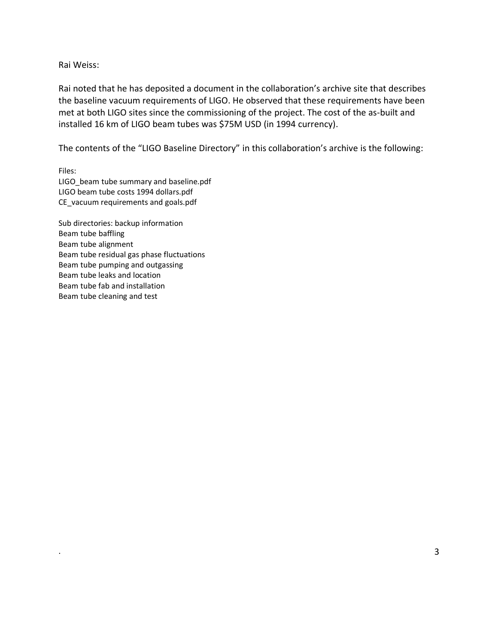#### Rai Weiss:

Rai noted that he has deposited a document in the collaboration's archive site that describes the baseline vacuum requirements of LIGO. He observed that these requirements have been met at both LIGO sites since the commissioning of the project. The cost of the as-built and installed 16 km of LIGO beam tubes was \$75M USD (in 1994 currency).

The contents of the "LIGO Baseline Directory" in this collaboration's archive is the following:

Files: LIGO\_beam tube summary and baseline.pdf LIGO beam tube costs 1994 dollars.pdf CE\_vacuum requirements and goals.pdf

Sub directories: backup information Beam tube baffling Beam tube alignment Beam tube residual gas phase fluctuations Beam tube pumping and outgassing Beam tube leaks and location Beam tube fab and installation Beam tube cleaning and test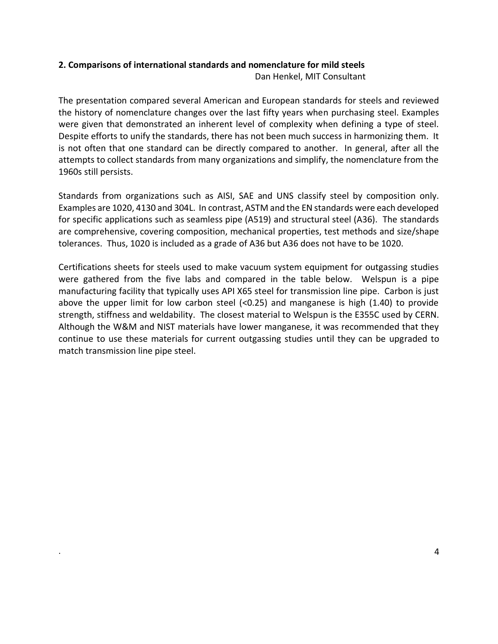## **2. Comparisons of international standards and nomenclature for mild steels**

Dan Henkel, MIT Consultant

The presentation compared several American and European standards for steels and reviewed the history of nomenclature changes over the last fifty years when purchasing steel. Examples were given that demonstrated an inherent level of complexity when defining a type of steel. Despite efforts to unify the standards, there has not been much success in harmonizing them. It is not often that one standard can be directly compared to another. In general, after all the attempts to collect standards from many organizations and simplify, the nomenclature from the 1960s still persists.

Standards from organizations such as AISI, SAE and UNS classify steel by composition only. Examples are 1020, 4130 and 304L. In contrast, ASTM and the EN standards were each developed for specific applications such as seamless pipe (A519) and structural steel (A36). The standards are comprehensive, covering composition, mechanical properties, test methods and size/shape tolerances. Thus, 1020 is included as a grade of A36 but A36 does not have to be 1020.

Certifications sheets for steels used to make vacuum system equipment for outgassing studies were gathered from the five labs and compared in the table below. Welspun is a pipe manufacturing facility that typically uses API X65 steel for transmission line pipe. Carbon is just above the upper limit for low carbon steel  $\langle$ <0.25) and manganese is high  $(1.40)$  to provide strength, stiffness and weldability. The closest material to Welspun is the E355C used by CERN. Although the W&M and NIST materials have lower manganese, it was recommended that they continue to use these materials for current outgassing studies until they can be upgraded to match transmission line pipe steel.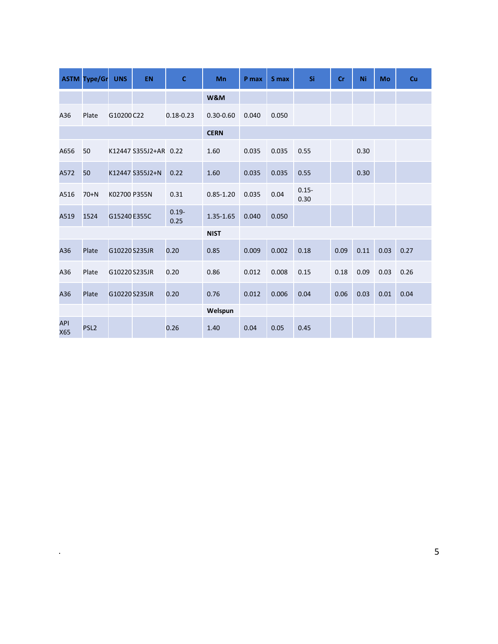|                   | <b>ASTM Type/Gr</b> | <b>UNS</b>    | EN                    | $\mathbf{C}$     | Mn            | P max | S max | Si               | cr   | Ni   | Mo   | Cu   |
|-------------------|---------------------|---------------|-----------------------|------------------|---------------|-------|-------|------------------|------|------|------|------|
|                   |                     |               |                       |                  | W&M           |       |       |                  |      |      |      |      |
| A36               | Plate               | G10200 C22    |                       | $0.18 - 0.23$    | $0.30 - 0.60$ | 0.040 | 0.050 |                  |      |      |      |      |
|                   |                     |               |                       |                  | <b>CERN</b>   |       |       |                  |      |      |      |      |
| A656              | 50                  |               | K12447 S355J2+AR 0.22 |                  | 1.60          | 0.035 | 0.035 | 0.55             |      | 0.30 |      |      |
| A572              | 50                  |               | K12447 S355J2+N       | 0.22             | 1.60          | 0.035 | 0.035 | 0.55             |      | 0.30 |      |      |
| A516              | $70+N$              | K02700 P355N  |                       | 0.31             | $0.85 - 1.20$ | 0.035 | 0.04  | $0.15 -$<br>0.30 |      |      |      |      |
| A519              | 1524                | G15240E355C   |                       | $0.19 -$<br>0.25 | 1.35-1.65     | 0.040 | 0.050 |                  |      |      |      |      |
|                   |                     |               |                       |                  | <b>NIST</b>   |       |       |                  |      |      |      |      |
| A36               | Plate               | G10220 S235JR |                       | 0.20             | 0.85          | 0.009 | 0.002 | 0.18             | 0.09 | 0.11 | 0.03 | 0.27 |
| A36               | Plate               | G10220 S235JR |                       | 0.20             | 0.86          | 0.012 | 0.008 | 0.15             | 0.18 | 0.09 | 0.03 | 0.26 |
| A36               | Plate               | G10220 S235JR |                       | 0.20             | 0.76          | 0.012 | 0.006 | 0.04             | 0.06 | 0.03 | 0.01 | 0.04 |
|                   |                     |               |                       |                  | Welspun       |       |       |                  |      |      |      |      |
| <b>API</b><br>X65 | PSL <sub>2</sub>    |               |                       | 0.26             | 1.40          | 0.04  | 0.05  | 0.45             |      |      |      |      |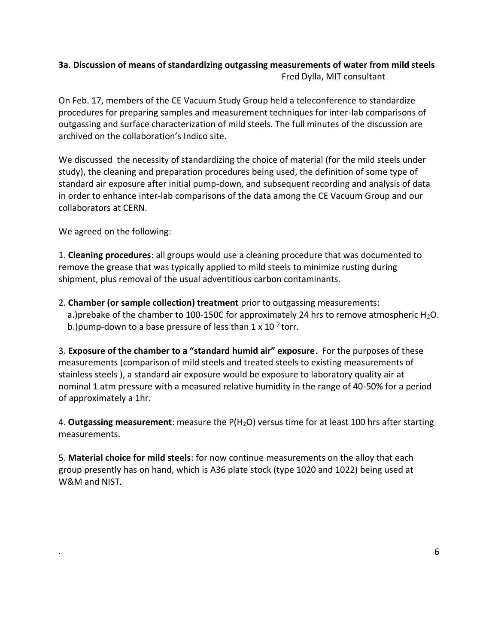# **3a. Discussion of means of standardizing outgassing measurements of water from mild steels** Fred Dylla, MIT consultant

On Feb. 17, members of the CE Vacuum Study Group held a teleconference to standardize procedures for preparing samples and measurement techniques for inter-lab comparisons of outgassing and surface characterization of mild steels. The full minutes of the discussion are archived on the collaboration's Indico site.

We discussed the necessity of standardizing the choice of material (for the mild steels under study), the cleaning and preparation procedures being used, the definition of some type of standard air exposure after initial pump-down, and subsequent recording and analysis of data in order to enhance inter-lab comparisons of the data among the CE Vacuum Group and our collaborators at CERN.

We agreed on the following:

1. **Cleaning procedures**: all groups would use a cleaning procedure that was documented to remove the grease that was typically applied to mild steels to minimize rusting during shipment, plus removal of the usual adventitious carbon contaminants.

2. **Chamber (or sample collection) treatment** prior to outgassing measurements: a.)prebake of the chamber to 100-150C for approximately 24 hrs to remove atmospheric  $H_2O$ . b.) pump-down to a base pressure of less than  $1 \times 10^{-7}$  torr.

3. **Exposure of the chamber to a "standard humid air" exposure**. For the purposes of these measurements (comparison of mild steels and treated steels to existing measurements of stainless steels ), a standard air exposure would be exposure to laboratory quality air at nominal 1 atm pressure with a measured relative humidity in the range of 40-50% for a period of approximately a 1hr.

4. Outgassing measurement: measure the P(H<sub>2</sub>O) versus time for at least 100 hrs after starting measurements.

5. **Material choice for mild steels**: for now continue measurements on the alloy that each group presently has on hand, which is A36 plate stock (type 1020 and 1022) being used at W&M and NIST.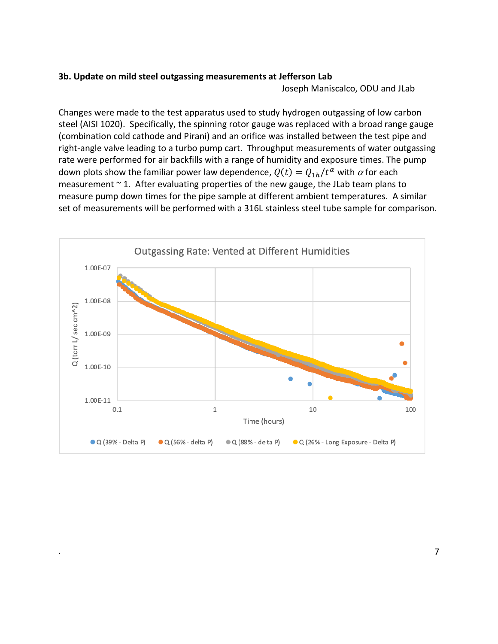#### **3b. Update on mild steel outgassing measurements at Jefferson Lab**

Joseph Maniscalco, ODU and JLab

Changes were made to the test apparatus used to study hydrogen outgassing of low carbon steel (AISI 1020). Specifically, the spinning rotor gauge was replaced with a broad range gauge (combination cold cathode and Pirani) and an orifice was installed between the test pipe and right-angle valve leading to a turbo pump cart. Throughput measurements of water outgassing rate were performed for air backfills with a range of humidity and exposure times. The pump down plots show the familiar power law dependence,  $Q(t) = Q_{1h}/t^{\alpha}$  with  $\alpha$  for each measurement  $\sim$  1. After evaluating properties of the new gauge, the JLab team plans to measure pump down times for the pipe sample at different ambient temperatures. A similar set of measurements will be performed with a 316L stainless steel tube sample for comparison.